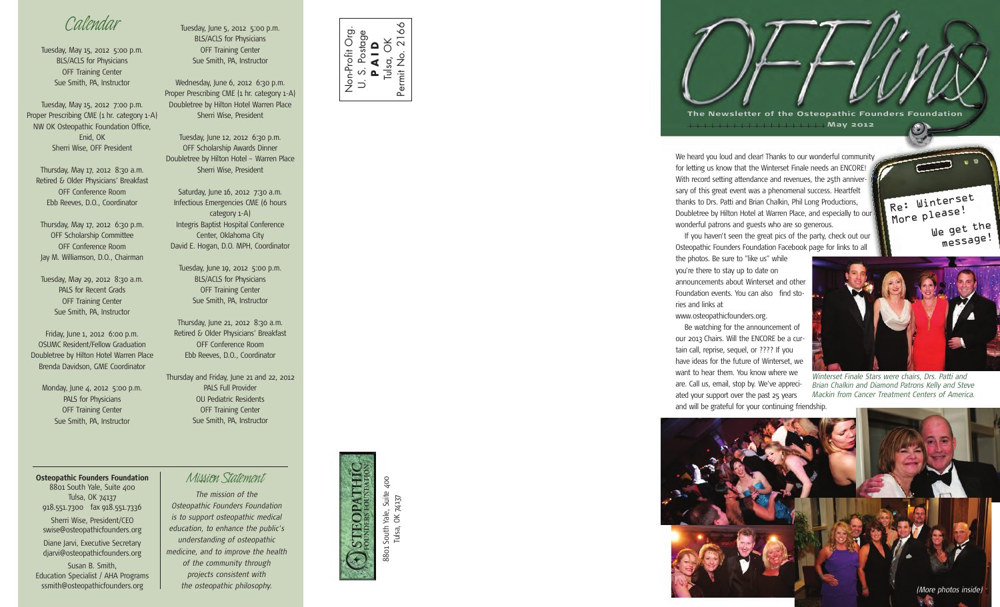## *Calendar*

Tuesday, May 15, 2012 5:00 p.m. BLS/ACLS for Physicians OFF Training Center Sue Smith, PA, Instructor

Tuesday, May 15, 2012 7:00 p.m. Proper Prescribing CME (1 hr. category 1-A) NW OK Osteopathic Foundation Office, Enid, OK Sherri Wise, OFF President

Thursday, May 17, 2012 8:30 a.m. Retired & Older Physicians' Breakfast OFF Conference Room Ebb Reeves, D.O., Coordinator

Thursday, May 17, 2012 6:30 p.m. OFF Scholarship Committee OFF Conference Room Jay M. Williamson, D.O., Chairman

Tuesday, May 29, 2012 8:30 a.m. PALS for Recent Grads OFF Training Center Sue Smith, PA, Instructor

Friday, June 1, 2012 6:00 p.m. OSUMC Resident/Fellow Graduation Doubletree by Hilton Hotel Warren Place Brenda Davidson, GME Coordinator

Monday, June 4, 2012 5:00 p.m. PALS for Physicians OFF Training Center Sue Smith, PA, Instructor

**Osteopathic Founders Foundation** *Mission Statement* 8801 South Yale, Suite 400 Tulsa, OK 74137 918.551.7300 fax 918.551.7336 Sherri Wise, President/CEO swise@osteopathicfounders.org Diane Jarvi, Executive Secretary djarvi@osteopathicfounders.org Susan B. Smith, Education Specialist / AHA Programs ssmith@osteopathicfounders.org

Tuesday, June 5, 2012 5:00 p.m. BLS/ACLS for Physicians OFF Training Center Sue Smith, PA, Instructor

Wednesday, June 6, 2012 6:30 p.m. Proper Prescribing CME (1 hr. category 1-A) Doubletree by Hilton Hotel Warren Place Sherri Wise, President

Tuesday, June 12, 2012 6:30 p.m. OFF Scholarship Awards Dinner Doubletree by Hilton Hotel – Warren Place Sherri Wise, President

Saturday, June 16, 2012 7:30 a.m. Infectious Emergencies CME (6 hours category 1-A) Integris Baptist Hospital Conference Center, Oklahoma City David E. Hogan, D.O. MPH, Coordinator

Tuesday, June 19, 2012 5:00 p.m. BLS/ACLS for Physicians OFF Training Center Sue Smith, PA, Instructor

Thursday, June 21, 2012 8:30 a.m. Retired & Older Physicians' Breakfast OFF Conference Room Ebb Reeves, D.O., Coordinator

Thursday and Friday, June 21 and 22, 2012 PALS Full Provider OU Pediatric Residents OFF Training Center Sue Smith, PA, Instructor

*The mission of the Osteopathic Founders Foundation is to support osteopathic medical education, to enhance the public's understanding of osteopathic medicine, and to improve the health of the community through projects consistent with the osteopathic philosophy.*



Non-Profit Org. U. S. Postage

 $\overrightarrow{D}$ 

Non-Profit Org

**S. Postage<br><b>P A I D**<br>Ulsa, OK<br>it No. 216  $Iulso,$ Permit No. 2166

Ó Ő.

Permit No.





**May 2 0 12**

We heard you loud and clear! Thanks to our wonderful community for letting us know that the Winterset Finale needs an ENCORE! With record setting attendance and revenues, the 25th anniversary of this great event was a phenomenal success. Heartfelt thanks to Drs. Patti and Brian Chalkin, Phil Long Productions, Doubletree by Hilton Hotel at Warren Place, and especially to our wonderful patrons and guests who are so generous.

If you haven't seen the great pics of the party, check out our Osteopathic Founders Foundation Facebook page for links to all

the photos. Be sure to "like us" while you're there to stay up to date on announcements about Winterset and other Foundation events. You can also find stories and links at

www.osteopathicfounders.org.

Be watching for the announcement of our 2013 Chairs. Will the ENCORE be a curtain call, reprise, sequel, or ???? If you have ideas for the future of Winterset, we want to hear them. You know where we are. Call us, email, stop by. We've appreciated your support over the past 25 years and will be grateful for your continuing friendship.



Re: Winterse<sup>t</sup> More please!

 $\odot$ 

We <sup>g</sup>et the message!

*Winterset Finale Stars were chairs, Drs. Patti and Brian Chalkin and Diamond Patrons Kelly and Steve Mackin from Cancer Treatment Centers of America.*